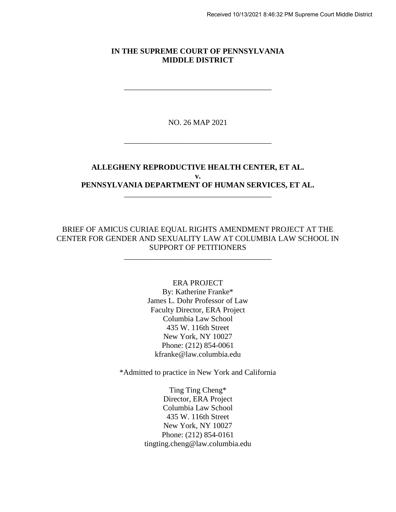#### **IN THE SUPREME COURT OF PENNSYLVANIA MIDDLE DISTRICT**

\_\_\_\_\_\_\_\_\_\_\_\_\_\_\_\_\_\_\_\_\_\_\_\_\_\_\_\_\_\_\_\_\_\_\_\_\_\_

NO. 26 MAP 2021

\_\_\_\_\_\_\_\_\_\_\_\_\_\_\_\_\_\_\_\_\_\_\_\_\_\_\_\_\_\_\_\_\_\_\_\_\_\_

## **ALLEGHENY REPRODUCTIVE HEALTH CENTER, ET AL. v. PENNSYLVANIA DEPARTMENT OF HUMAN SERVICES, ET AL.**

\_\_\_\_\_\_\_\_\_\_\_\_\_\_\_\_\_\_\_\_\_\_\_\_\_\_\_\_\_\_\_\_\_\_\_\_\_\_

### BRIEF OF AMICUS CURIAE EQUAL RIGHTS AMENDMENT PROJECT AT THE CENTER FOR GENDER AND SEXUALITY LAW AT COLUMBIA LAW SCHOOL IN SUPPORT OF PETITIONERS

\_\_\_\_\_\_\_\_\_\_\_\_\_\_\_\_\_\_\_\_\_\_\_\_\_\_\_\_\_\_\_\_\_\_\_\_\_\_

### ERA PROJECT By: Katherine Franke\* James L. Dohr Professor of Law Faculty Director, ERA Project Columbia Law School 435 W. 116th Street New York, NY 10027 Phone: (212) 854-0061 kfranke@law.columbia.edu

\*Admitted to practice in New York and California

Ting Ting Cheng\* Director, ERA Project Columbia Law School 435 W. 116th Street New York, NY 10027 Phone: (212) 854-0161 tingting.cheng@law.columbia.edu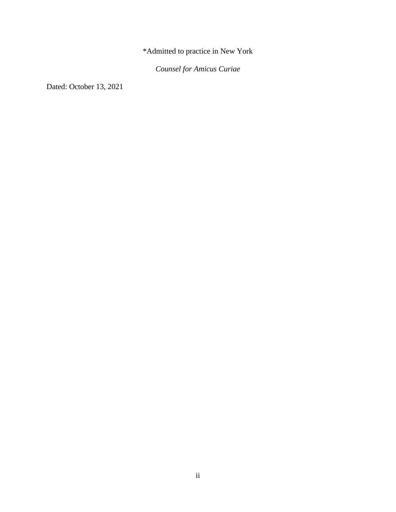\*Admitted to practice in New York

*Counsel for Amicus Curiae*

Dated: October 13, 2021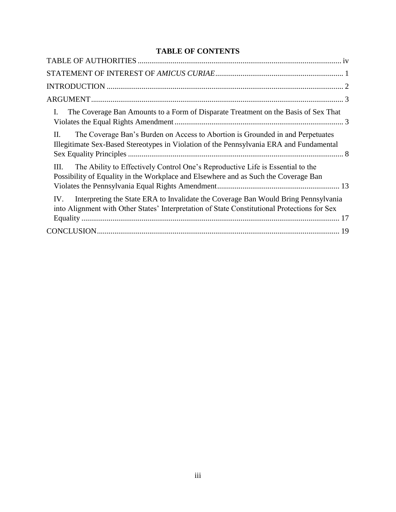# **TABLE OF CONTENTS**

| The Coverage Ban Amounts to a Form of Disparate Treatment on the Basis of Sex That<br>L.                                                                                                  |
|-------------------------------------------------------------------------------------------------------------------------------------------------------------------------------------------|
| The Coverage Ban's Burden on Access to Abortion is Grounded in and Perpetuates<br>П.<br>Illegitimate Sex-Based Stereotypes in Violation of the Pennsylvania ERA and Fundamental           |
| The Ability to Effectively Control One's Reproductive Life is Essential to the<br>III.<br>Possibility of Equality in the Workplace and Elsewhere and as Such the Coverage Ban             |
| Interpreting the State ERA to Invalidate the Coverage Ban Would Bring Pennsylvania<br>IV.<br>into Alignment with Other States' Interpretation of State Constitutional Protections for Sex |
|                                                                                                                                                                                           |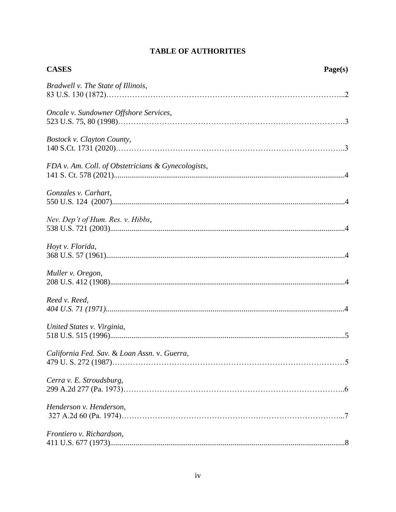<span id="page-3-0"></span>

| <b>CASES</b>                                       | Page(s) |
|----------------------------------------------------|---------|
| Bradwell v. The State of Illinois,                 |         |
| Oncale v. Sundowner Offshore Services,             |         |
| Bostock v. Clayton County,                         |         |
| FDA v. Am. Coll. of Obstetricians & Gynecologists, |         |
| Gonzales v. Carhart,                               |         |
| Nev. Dep't of Hum. Res. v. Hibbs,                  |         |
| Hoyt v. Florida,                                   |         |
| Muller v. Oregon,                                  |         |
| Reed v. Reed,                                      |         |
| United States v. Virginia,                         |         |
| California Fed. Sav. & Loan Assn. v. Guerra,       |         |
| Cerra v. E. Stroudsburg,                           |         |
| Henderson v. Henderson,                            |         |
| Frontiero v. Richardson,                           |         |

# **TABLE OF AUTHORITIES**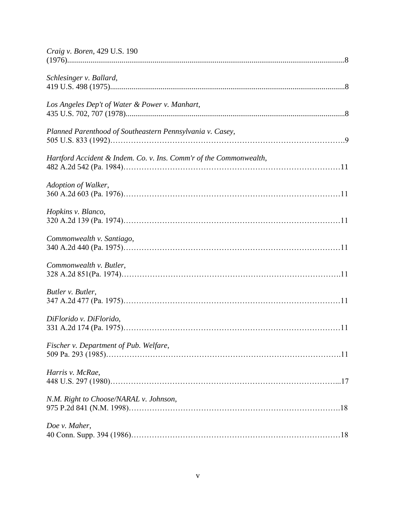| Craig v. Boren, 429 U.S. 190                                       |
|--------------------------------------------------------------------|
| Schlesinger v. Ballard,                                            |
| Los Angeles Dep't of Water & Power v. Manhart,                     |
| Planned Parenthood of Southeastern Pennsylvania v. Casey,          |
| Hartford Accident & Indem. Co. v. Ins. Comm'r of the Commonwealth, |
| Adoption of Walker,                                                |
| Hopkins v. Blanco,                                                 |
| Commonwealth v. Santiago,                                          |
| Commonwealth v. Butler,                                            |
| Butler v. Butler,                                                  |
| DiFlorido v. DiFlorido,                                            |
| Fischer v. Department of Pub. Welfare,                             |
| Harris v. McRae,                                                   |
| N.M. Right to Choose/NARAL v. Johnson,                             |
| Doe v. Maher,                                                      |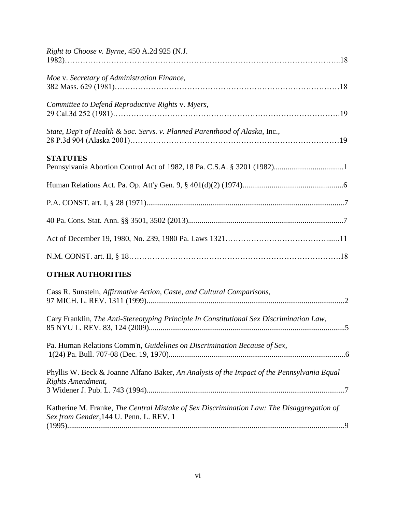| Right to Choose v. Byrne, 450 A.2d 925 (N.J.                                                                                         |
|--------------------------------------------------------------------------------------------------------------------------------------|
| Moe v. Secretary of Administration Finance,                                                                                          |
| Committee to Defend Reproductive Rights v. Myers,                                                                                    |
| State, Dep't of Health & Soc. Servs. v. Planned Parenthood of Alaska, Inc.,                                                          |
| <b>STATUTES</b>                                                                                                                      |
|                                                                                                                                      |
|                                                                                                                                      |
|                                                                                                                                      |
|                                                                                                                                      |
|                                                                                                                                      |
| <b>OTHER AUTHORITIES</b>                                                                                                             |
| Cass R. Sunstein, Affirmative Action, Caste, and Cultural Comparisons,                                                               |
| Cary Franklin, The Anti-Stereotyping Principle In Constitutional Sex Discrimination Law,                                             |
| Pa. Human Relations Comm'n, Guidelines on Discrimination Because of Sex,                                                             |
| Phyllis W. Beck & Joanne Alfano Baker, An Analysis of the Impact of the Pennsylvania Equal<br>Rights Amendment,                      |
| Katherine M. Franke, The Central Mistake of Sex Discrimination Law: The Disaggregation of<br>Sex from Gender, 144 U. Penn. L. REV. 1 |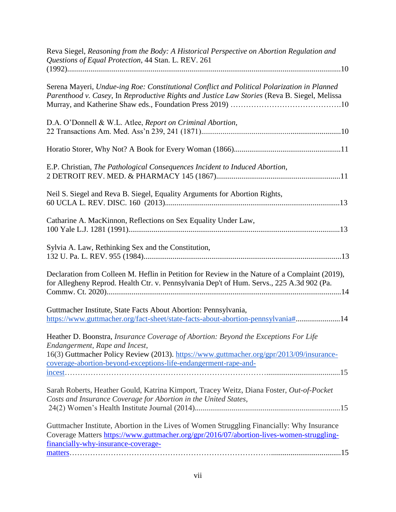| Reva Siegel, Reasoning from the Body: A Historical Perspective on Abortion Regulation and<br>Questions of Equal Protection, 44 Stan. L. REV. 261                                                                                                                                                                          |
|---------------------------------------------------------------------------------------------------------------------------------------------------------------------------------------------------------------------------------------------------------------------------------------------------------------------------|
|                                                                                                                                                                                                                                                                                                                           |
| Serena Mayeri, Undue-ing Roe: Constitutional Conflict and Political Polarization in Planned<br>Parenthood v. Casey, In Reproductive Rights and Justice Law Stories (Reva B. Siegel, Melissa                                                                                                                               |
| D.A. O'Donnell & W.L. Atlee, Report on Criminal Abortion,                                                                                                                                                                                                                                                                 |
|                                                                                                                                                                                                                                                                                                                           |
| E.P. Christian, The Pathological Consequences Incident to Induced Abortion,                                                                                                                                                                                                                                               |
| Neil S. Siegel and Reva B. Siegel, Equality Arguments for Abortion Rights,                                                                                                                                                                                                                                                |
| Catharine A. MacKinnon, Reflections on Sex Equality Under Law,                                                                                                                                                                                                                                                            |
| Sylvia A. Law, Rethinking Sex and the Constitution,                                                                                                                                                                                                                                                                       |
| Declaration from Colleen M. Heflin in Petition for Review in the Nature of a Complaint (2019),<br>for Allegheny Reprod. Health Ctr. v. Pennsylvania Dep't of Hum. Servs., 225 A.3d 902 (Pa.                                                                                                                               |
| Guttmacher Institute, State Facts About Abortion: Pennsylvania,<br>https://www.guttmacher.org/fact-sheet/state-facts-about-abortion-pennsylvania#14                                                                                                                                                                       |
| Heather D. Boonstra, <i>Insurance Coverage of Abortion: Beyond the Exceptions For Life</i><br>Endangerment, Rape and Incest,<br>16(3) Guttmacher Policy Review (2013). https://www.guttmacher.org/gpr/2013/09/insurance-<br>coverage-abortion-beyond-exceptions-life-endangerment-rape-and-<br>$\frac{\text{incest}}{15}$ |
| Sarah Roberts, Heather Gould, Katrina Kimport, Tracey Weitz, Diana Foster, Out-of-Pocket<br>Costs and Insurance Coverage for Abortion in the United States,                                                                                                                                                               |
| Guttmacher Institute, Abortion in the Lives of Women Struggling Financially: Why Insurance<br>Coverage Matters https://www.guttmacher.org/gpr/2016/07/abortion-lives-women-struggling-<br>financially-why-insurance-coverage-                                                                                             |
|                                                                                                                                                                                                                                                                                                                           |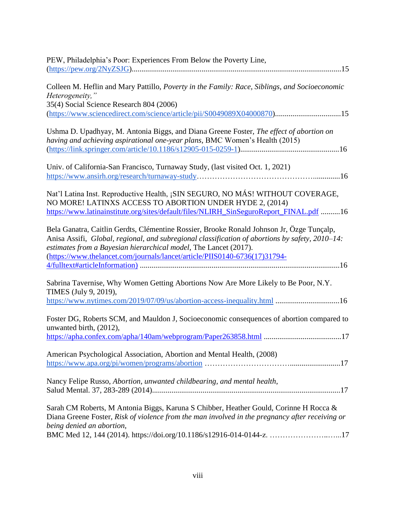| PEW, Philadelphia's Poor: Experiences From Below the Poverty Line,                                                                                                                                                                                                                                                                             |
|------------------------------------------------------------------------------------------------------------------------------------------------------------------------------------------------------------------------------------------------------------------------------------------------------------------------------------------------|
|                                                                                                                                                                                                                                                                                                                                                |
| Colleen M. Heflin and Mary Pattillo, Poverty in the Family: Race, Siblings, and Socioeconomic<br>Heterogeneity,"<br>35(4) Social Science Research 804 (2006)<br>(https://www.sciencedirect.com/science/article/pii/S0049089X04000870)15                                                                                                        |
| Ushma D. Upadhyay, M. Antonia Biggs, and Diana Greene Foster, The effect of abortion on<br>having and achieving aspirational one-year plans, BMC Women's Health (2015)                                                                                                                                                                         |
| Univ. of California-San Francisco, Turnaway Study, (last visited Oct. 1, 2021)                                                                                                                                                                                                                                                                 |
| Nat'l Latina Inst. Reproductive Health, ¡SIN SEGURO, NO MÁS! WITHOUT COVERAGE,<br>NO MORE! LATINXS ACCESS TO ABORTION UNDER HYDE 2, (2014)<br>https://www.latinainstitute.org/sites/default/files/NLIRH_SinSeguroReport_FINAL.pdf 16                                                                                                           |
| Bela Ganatra, Caitlin Gerdts, Clémentine Rossier, Brooke Ronald Johnson Jr, Özge Tunçalp,<br>Anisa Assifi, Global, regional, and subregional classification of abortions by safety, 2010–14:<br>estimates from a Bayesian hierarchical model, The Lancet (2017).<br>(https://www.thelancet.com/journals/lancet/article/PIIS0140-6736(17)31794- |
| Sabrina Tavernise, Why Women Getting Abortions Now Are More Likely to Be Poor, N.Y.<br>TIMES (July 9, 2019),<br>https://www.nytimes.com/2019/07/09/us/abortion-access-inequality.html 16                                                                                                                                                       |
| Foster DG, Roberts SCM, and Mauldon J, Socioeconomic consequences of abortion compared to<br>unwanted birth, (2012),                                                                                                                                                                                                                           |
| American Psychological Association, Abortion and Mental Health, (2008)                                                                                                                                                                                                                                                                         |
| Nancy Felipe Russo, Abortion, unwanted childbearing, and mental health,                                                                                                                                                                                                                                                                        |
| Sarah CM Roberts, M Antonia Biggs, Karuna S Chibber, Heather Gould, Corinne H Rocca &<br>Diana Greene Foster, Risk of violence from the man involved in the pregnancy after receiving or<br>being denied an abortion,                                                                                                                          |
| BMC Med 12, 144 (2014). https://doi.org/10.1186/s12916-014-0144-z. 17                                                                                                                                                                                                                                                                          |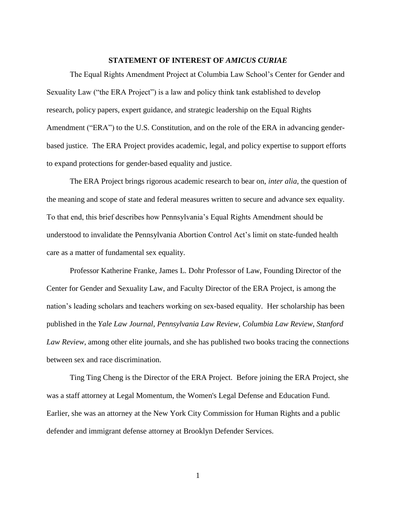#### **STATEMENT OF INTEREST OF** *AMICUS CURIAE*

<span id="page-8-0"></span>The Equal Rights Amendment Project at Columbia Law School's Center for Gender and Sexuality Law ("the ERA Project") is a law and policy think tank established to develop research, policy papers, expert guidance, and strategic leadership on the Equal Rights Amendment ("ERA") to the U.S. Constitution, and on the role of the ERA in advancing genderbased justice. The ERA Project provides academic, legal, and policy expertise to support efforts to expand protections for gender-based equality and justice.

The ERA Project brings rigorous academic research to bear on, *inter alia*, the question of the meaning and scope of state and federal measures written to secure and advance sex equality. To that end, this brief describes how Pennsylvania's Equal Rights Amendment should be understood to invalidate the Pennsylvania Abortion Control Act's limit on state-funded health care as a matter of fundamental sex equality.

Professor Katherine Franke, James L. Dohr Professor of Law, Founding Director of the Center for Gender and Sexuality Law, and Faculty Director of the ERA Project, is among the nation's leading scholars and teachers working on sex-based equality. Her scholarship has been published in the *Yale Law Journal*, *Pennsylvania Law Review*, *Columbia Law Review*, *Stanford Law Review*, among other elite journals, and she has published two books tracing the connections between sex and race discrimination.

Ting Ting Cheng is the Director of the ERA Project. Before joining the ERA Project, she was a staff attorney at Legal Momentum, the Women's Legal Defense and Education Fund. Earlier, she was an attorney at the New York City Commission for Human Rights and a public defender and immigrant defense attorney at Brooklyn Defender Services.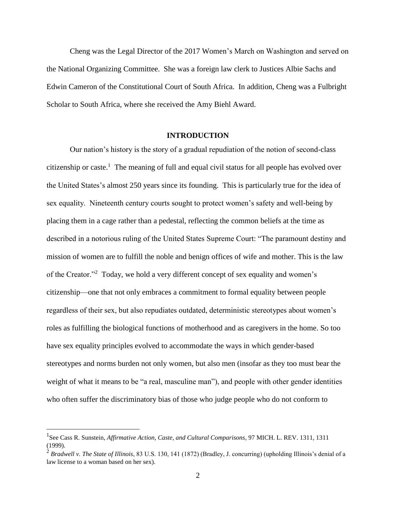Cheng was the Legal Director of the 2017 Women's March on Washington and served on the National Organizing Committee. She was a foreign law clerk to Justices Albie Sachs and Edwin Cameron of the Constitutional Court of South Africa. In addition, Cheng was a Fulbright Scholar to South Africa, where she received the Amy Biehl Award.

#### **INTRODUCTION**

<span id="page-9-0"></span>Our nation's history is the story of a gradual repudiation of the notion of second-class citizenship or caste.<sup>1</sup> The meaning of full and equal civil status for all people has evolved over the United States's almost 250 years since its founding. This is particularly true for the idea of sex equality. Nineteenth century courts sought to protect women's safety and well-being by placing them in a cage rather than a pedestal, reflecting the common beliefs at the time as described in a notorious ruling of the United States Supreme Court: "The paramount destiny and mission of women are to fulfill the noble and benign offices of wife and mother. This is the law of the Creator."<sup>2</sup> Today, we hold a very different concept of sex equality and women's citizenship—one that not only embraces a commitment to formal equality between people regardless of their sex, but also repudiates outdated, deterministic stereotypes about women's roles as fulfilling the biological functions of motherhood and as caregivers in the home. So too have sex equality principles evolved to accommodate the ways in which gender-based stereotypes and norms burden not only women, but also men (insofar as they too must bear the weight of what it means to be "a real, masculine man"), and people with other gender identities who often suffer the discriminatory bias of those who judge people who do not conform to

<sup>1</sup> See Cass R. Sunstein, *Affirmative Action, Caste, and Cultural Comparisons*, 97 MICH. L. REV. 1311, 1311 (1999).

<sup>2</sup> *Bradwell v. The State of Illinois*, 83 U.S. 130, 141 (1872) (Bradley, J. concurring) (upholding Illinois's denial of a law license to a woman based on her sex).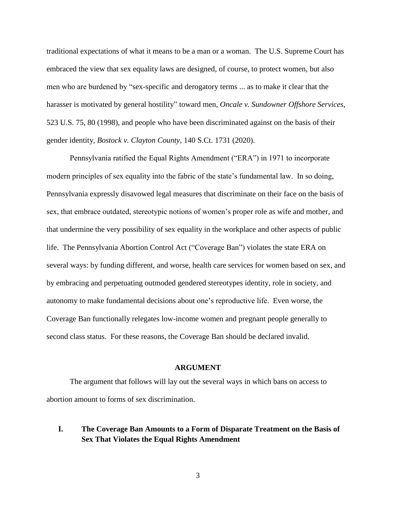traditional expectations of what it means to be a man or a woman. The U.S. Supreme Court has embraced the view that sex equality laws are designed, of course, to protect women, but also men who are burdened by "sex-specific and derogatory terms ... as to make it clear that the harasser is motivated by general hostility" toward men, *Oncale v. Sundowner Offshore Services*, 523 U.S. 75, 80 (1998), and people who have been discriminated against on the basis of their gender identity, *Bostock v. Clayton County*, 140 S.Ct. 1731 (2020).

Pennsylvania ratified the Equal Rights Amendment ("ERA") in 1971 to incorporate modern principles of sex equality into the fabric of the state's fundamental law. In so doing, Pennsylvania expressly disavowed legal measures that discriminate on their face on the basis of sex, that embrace outdated, stereotypic notions of women's proper role as wife and mother, and that undermine the very possibility of sex equality in the workplace and other aspects of public life. The Pennsylvania Abortion Control Act ("Coverage Ban") violates the state ERA on several ways: by funding different, and worse, health care services for women based on sex, and by embracing and perpetuating outmoded gendered stereotypes identity, role in society, and autonomy to make fundamental decisions about one's reproductive life. Even worse, the Coverage Ban functionally relegates low-income women and pregnant people generally to second class status. For these reasons, the Coverage Ban should be declared invalid.

#### **ARGUMENT**

<span id="page-10-0"></span>The argument that follows will lay out the several ways in which bans on access to abortion amount to forms of sex discrimination.

## <span id="page-10-1"></span>**I. The Coverage Ban Amounts to a Form of Disparate Treatment on the Basis of Sex That Violates the Equal Rights Amendment**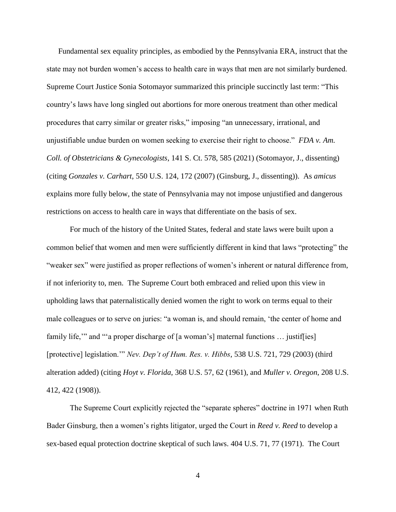Fundamental sex equality principles, as embodied by the Pennsylvania ERA, instruct that the state may not burden women's access to health care in ways that men are not similarly burdened. Supreme Court Justice Sonia Sotomayor summarized this principle succinctly last term: "This country's laws have long singled out abortions for more onerous treatment than other medical procedures that carry similar or greater risks," imposing "an unnecessary, irrational, and unjustifiable undue burden on women seeking to exercise their right to choose." *FDA v. Am. Coll. of Obstetricians & Gynecologists*, 141 S. Ct. 578, 585 (2021) (Sotomayor, J., dissenting) (citing *Gonzales v. Carhart*, 550 U.S. 124, 172 (2007) (Ginsburg, J., dissenting)). As *amicus* explains more fully below, the state of Pennsylvania may not impose unjustified and dangerous restrictions on access to health care in ways that differentiate on the basis of sex.

For much of the history of the United States, federal and state laws were built upon a common belief that women and men were sufficiently different in kind that laws "protecting" the "weaker sex" were justified as proper reflections of women's inherent or natural difference from, if not inferiority to, men. The Supreme Court both embraced and relied upon this view in upholding laws that paternalistically denied women the right to work on terms equal to their male colleagues or to serve on juries: "a woman is, and should remain, 'the center of home and family life," and "'a proper discharge of [a woman's] maternal functions ... justiffies] [protective] legislation.'" *Nev. Dep't of Hum. Res. v. Hibbs*, 538 U.S. 721, 729 (2003) (third alteration added) (citing *Hoyt v. Florida*, 368 U.S. 57, 62 (1961), and *Muller v. Oregon*, 208 U.S. 412, 422 (1908)).

The Supreme Court explicitly rejected the "separate spheres" doctrine in 1971 when Ruth Bader Ginsburg, then a women's rights litigator, urged the Court in *Reed v. Reed* to develop a sex-based equal protection doctrine skeptical of such laws. 404 U.S. 71, 77 (1971). The Court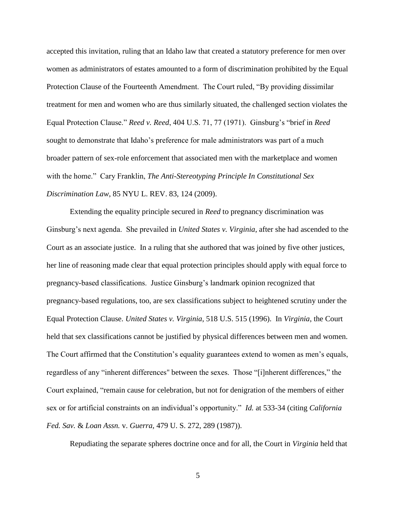accepted this invitation, ruling that an Idaho law that created a statutory preference for men over women as administrators of estates amounted to a form of discrimination prohibited by the Equal Protection Clause of the Fourteenth Amendment. The Court ruled, "By providing dissimilar treatment for men and women who are thus similarly situated, the challenged section violates the Equal Protection Clause." *Reed v. Reed*, 404 U.S. 71, 77 (1971). Ginsburg's "brief in *Reed* sought to demonstrate that Idaho's preference for male administrators was part of a much broader pattern of sex-role enforcement that associated men with the marketplace and women with the home." Cary Franklin, *The Anti-Stereotyping Principle In Constitutional Sex Discrimination Law*, 85 NYU L. REV. 83, 124 (2009).

Extending the equality principle secured in *Reed* to pregnancy discrimination was Ginsburg's next agenda. She prevailed in *United States v. Virginia*, after she had ascended to the Court as an associate justice. In a ruling that she authored that was joined by five other justices, her line of reasoning made clear that equal protection principles should apply with equal force to pregnancy-based classifications. Justice Ginsburg's landmark opinion recognized that pregnancy-based regulations, too, are sex classifications subject to heightened scrutiny under the Equal Protection Clause. *United States v. Virginia*, 518 U.S. 515 (1996). In *Virginia*, the Court held that sex classifications cannot be justified by physical differences between men and women. The Court affirmed that the Constitution's equality guarantees extend to women as men's equals, regardless of any "inherent differences'' between the sexes. Those "[i]nherent differences," the Court explained, "remain cause for celebration, but not for denigration of the members of either sex or for artificial constraints on an individual's opportunity." *Id.* at 533-34 (citing *California Fed. Sav.* & *Loan Assn.* v. *Guerra,* [479 U. S. 272,](https://supreme.justia.com/cases/federal/us/479/272/case.html) 289 (1987)).

Repudiating the separate spheres doctrine once and for all, the Court in *Virginia* held that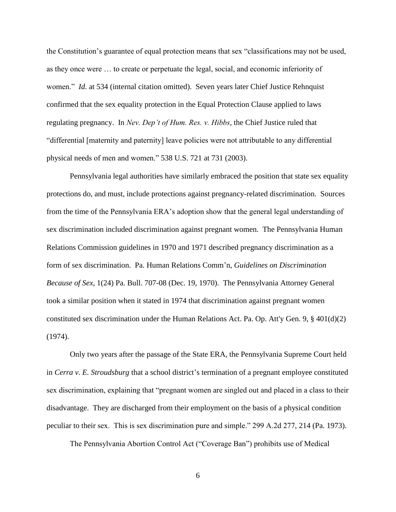the Constitution's guarantee of equal protection means that sex "classifications may not be used, as they once were … to create or perpetuate the legal, social, and economic inferiority of women." *Id*. at 534 (internal citation omitted). Seven years later Chief Justice Rehnquist confirmed that the sex equality protection in the Equal Protection Clause applied to laws regulating pregnancy. In *Nev. Dep't of Hum. Res. v. Hibbs*, the Chief Justice ruled that "differential [maternity and paternity] leave policies were not attributable to any differential physical needs of men and women." 538 U.S. 721 at 731 (2003).

Pennsylvania legal authorities have similarly embraced the position that state sex equality protections do, and must, include protections against pregnancy-related discrimination. Sources from the time of the Pennsylvania ERA's adoption show that the general legal understanding of sex discrimination included discrimination against pregnant women. The Pennsylvania Human Relations Commission guidelines in 1970 and 1971 described pregnancy discrimination as a form of sex discrimination. Pa. Human Relations Comm'n, *Guidelines on Discrimination Because of Sex*, 1(24) Pa. Bull. 707-08 (Dec. 19, 1970). The Pennsylvania Attorney General took a similar position when it stated in 1974 that discrimination against pregnant women constituted sex discrimination under the Human Relations Act. Pa. Op. Att'y Gen. 9,  $\S 401(d)(2)$ (1974).

Only two years after the passage of the State ERA, the Pennsylvania Supreme Court held in *Cerra v. E. Stroudsburg* that a school district's termination of a pregnant employee constituted sex discrimination, explaining that "pregnant women are singled out and placed in a class to their disadvantage. They are discharged from their employment on the basis of a physical condition peculiar to their sex. This is sex discrimination pure and simple." 299 A.2d 277, 214 (Pa. 1973).

The Pennsylvania Abortion Control Act ("Coverage Ban") prohibits use of Medical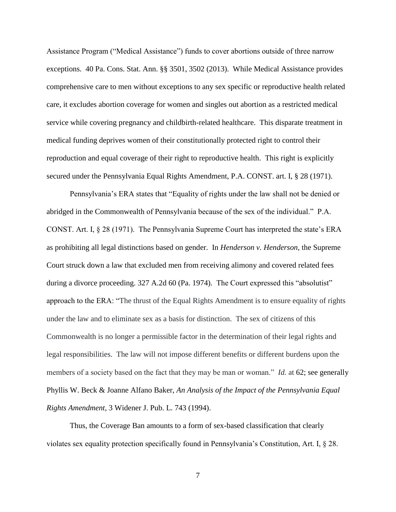Assistance Program ("Medical Assistance") funds to cover abortions outside of three narrow exceptions. 40 Pa. Cons. Stat. Ann. §§ 3501, 3502 (2013). While Medical Assistance provides comprehensive care to men without exceptions to any sex specific or reproductive health related care, it excludes abortion coverage for women and singles out abortion as a restricted medical service while covering pregnancy and childbirth-related healthcare. This disparate treatment in medical funding deprives women of their constitutionally protected right to control their reproduction and equal coverage of their right to reproductive health. This right is explicitly secured under the Pennsylvania Equal Rights Amendment, P.A. CONST. art. I, § 28 (1971).

Pennsylvania's ERA states that "Equality of rights under the law shall not be denied or abridged in the Commonwealth of Pennsylvania because of the sex of the individual." P.A. CONST. Art. I, § 28 (1971). The Pennsylvania Supreme Court has interpreted the state's ERA as prohibiting all legal distinctions based on gender. In *Henderson v. Henderson*, the Supreme Court struck down a law that excluded men from receiving alimony and covered related fees during a divorce proceeding. 327 A.2d 60 (Pa. 1974). The Court expressed this "absolutist" approach to the ERA: "The thrust of the Equal Rights Amendment is to ensure equality of rights under the law and to eliminate sex as a basis for distinction. The sex of citizens of this Commonwealth is no longer a permissible factor in the determination of their legal rights and legal responsibilities. The law will not impose different benefits or different burdens upon the members of a society based on the fact that they may be man or woman." *Id.* at 62; see generally Phyllis W. Beck & Joanne Alfano Baker, *An Analysis of the Impact of the Pennsylvania Equal Rights Amendment*, 3 Widener J. Pub. L. 743 (1994).

Thus, the Coverage Ban amounts to a form of sex-based classification that clearly violates sex equality protection specifically found in Pennsylvania's Constitution, Art. I, § 28.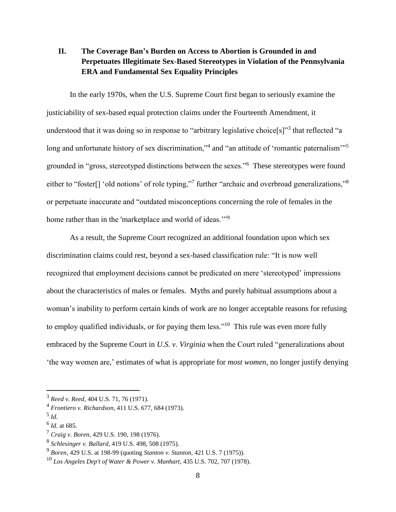# <span id="page-15-0"></span>**II. The Coverage Ban's Burden on Access to Abortion is Grounded in and Perpetuates Illegitimate Sex-Based Stereotypes in Violation of the Pennsylvania ERA and Fundamental Sex Equality Principles**

In the early 1970s, when the U.S. Supreme Court first began to seriously examine the justiciability of sex-based equal protection claims under the Fourteenth Amendment, it understood that it was doing so in response to "arbitrary legislative choice[s]"<sup>3</sup> that reflected "a long and unfortunate history of sex discrimination,"<sup>4</sup> and "an attitude of 'romantic paternalism"<sup>5</sup> grounded in "gross, stereotyped distinctions between the sexes."<sup>6</sup> These stereotypes were found either to "foster<sup>[]</sup> 'old notions' of role typing,"<sup>7</sup> further "archaic and overbroad generalizations,"<sup>8</sup> or perpetuate inaccurate and "outdated misconceptions concerning the role of females in the home rather than in the 'marketplace and world of ideas.'"<sup>9</sup>

As a result, the Supreme Court recognized an additional foundation upon which sex discrimination claims could rest, beyond a sex-based classification rule: "It is now well recognized that employment decisions cannot be predicated on mere 'stereotyped' impressions about the characteristics of males or females. Myths and purely habitual assumptions about a woman's inability to perform certain kinds of work are no longer acceptable reasons for refusing to employ qualified individuals, or for paying them less."<sup>10</sup> This rule was even more fully embraced by the Supreme Court in *U.S. v. Virginia* when the Court ruled "generalizations about 'the way women are,' estimates of what is appropriate for *most women,* no longer justify denying

<sup>3</sup> *Reed v. Reed*, 404 U.S. 71, 76 (1971).

<sup>4</sup> *Frontiero v. Richardson*, 411 U.S. 677, 684 (1973).

<sup>5</sup> *Id.*

<sup>6</sup> *Id.* at 685.

<sup>7</sup> *Craig v. Boren*, 429 U.S. 190, 198 (1976).

<sup>8</sup> *Schlesinger v. Ballard*, 419 U.S. 498, 508 (1975).

<sup>9</sup> *Boren*, 429 U.S. at 198-99 (quoting *Stanton v. Stanton*, 421 U.S. 7 (1975)).

<sup>10</sup> *Los Angeles Dep't of Water & Power v. Manhart*, 435 U.S. 702, 707 (1978).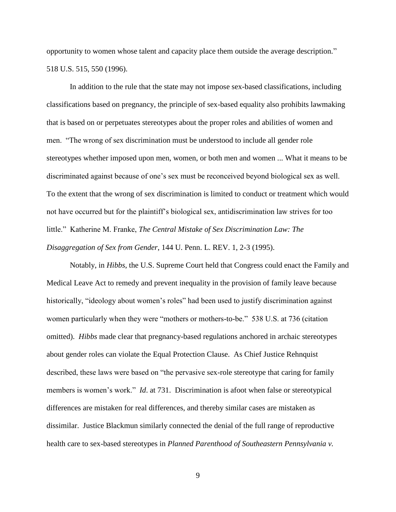opportunity to women whose talent and capacity place them outside the average description." 518 U.S. 515, 550 (1996).

In addition to the rule that the state may not impose sex-based classifications, including classifications based on pregnancy, the principle of sex-based equality also prohibits lawmaking that is based on or perpetuates stereotypes about the proper roles and abilities of women and men. "The wrong of sex discrimination must be understood to include all gender role stereotypes whether imposed upon men, women, or both men and women ... What it means to be discriminated against because of one's sex must be reconceived beyond biological sex as well. To the extent that the wrong of sex discrimination is limited to conduct or treatment which would not have occurred but for the plaintiff's biological sex, antidiscrimination law strives for too little." Katherine M. Franke, *The Central Mistake of Sex Discrimination Law: The Disaggregation of Sex from Gender*, 144 U. Penn. L. REV. 1, 2-3 (1995).

Notably, in *Hibbs*, the U.S. Supreme Court held that Congress could enact the Family and Medical Leave Act to remedy and prevent inequality in the provision of family leave because historically, "ideology about women's roles" had been used to justify discrimination against women particularly when they were "mothers or mothers-to-be." 538 U.S. at 736 (citation omitted). *Hibbs* made clear that pregnancy-based regulations anchored in archaic stereotypes about gender roles can violate the Equal Protection Clause. As Chief Justice Rehnquist described, these laws were based on "the pervasive sex-role stereotype that caring for family members is women's work." *Id*. at 731. Discrimination is afoot when false or stereotypical differences are mistaken for real differences, and thereby similar cases are mistaken as dissimilar. Justice Blackmun similarly connected the denial of the full range of reproductive health care to sex-based stereotypes in *Planned Parenthood of Southeastern Pennsylvania v.*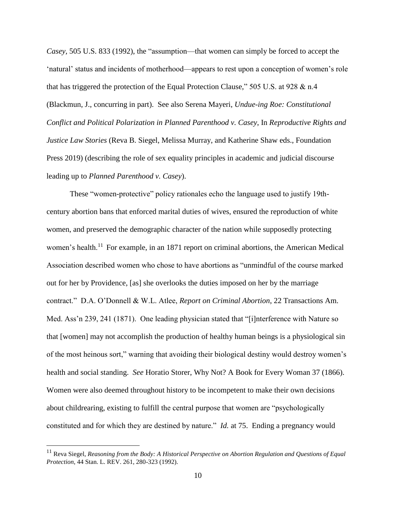*Casey,* 505 U.S. 833 (1992), the "assumption—that women can simply be forced to accept the 'natural' status and incidents of motherhood—appears to rest upon a conception of women's role that has triggered the protection of the Equal Protection Clause," 505 U.S. at 928 & n.4 (Blackmun, J., concurring in part). See also Serena Mayeri, *Undue-ing Roe: Constitutional Conflict and Political Polarization in Planned Parenthood v. Casey*, In *Reproductive Rights and Justice Law Stories* (Reva B. Siegel, Melissa Murray, and Katherine Shaw eds., Foundation Press 2019) (describing the role of sex equality principles in academic and judicial discourse leading up to *Planned Parenthood v. Casey*).

These "women-protective" policy rationales echo the language used to justify 19thcentury abortion bans that enforced marital duties of wives, ensured the reproduction of white women, and preserved the demographic character of the nation while supposedly protecting women's health.<sup>11</sup> For example, in an 1871 report on criminal abortions, the American Medical Association described women who chose to have abortions as "unmindful of the course marked out for her by Providence, [as] she overlooks the duties imposed on her by the marriage contract." D.A. O'Donnell & W.L. Atlee, *Report on Criminal Abortion*, 22 Transactions Am. Med. Ass'n 239, 241 (1871). One leading physician stated that "[i]nterference with Nature so that [women] may not accomplish the production of healthy human beings is a physiological sin of the most heinous sort," warning that avoiding their biological destiny would destroy women's health and social standing. *See* Horatio Storer, Why Not? A Book for Every Woman 37 (1866). Women were also deemed throughout history to be incompetent to make their own decisions about childrearing, existing to fulfill the central purpose that women are "psychologically constituted and for which they are destined by nature." *Id.* at 75. Ending a pregnancy would

<sup>11</sup> Reva Siegel, *Reasoning from the Body: A Historical Perspective on Abortion Regulation and Questions of Equal Protection*, 44 Stan. L. REV. 261, 280-323 (1992).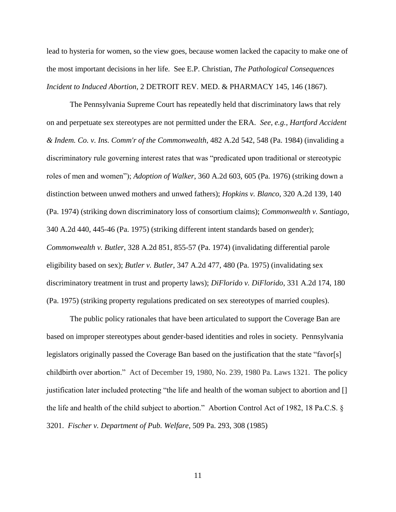lead to hysteria for women, so the view goes, because women lacked the capacity to make one of the most important decisions in her life. See E.P. Christian, *The Pathological Consequences Incident to Induced Abortion*, 2 DETROIT REV. MED. & PHARMACY 145, 146 (1867).

The Pennsylvania Supreme Court has repeatedly held that discriminatory laws that rely on and perpetuate sex stereotypes are not permitted under the ERA. *See, e.g.*, *Hartford Accident & Indem. Co. v. Ins. Comm'r of the Commonwealth*, 482 A.2d 542, 548 (Pa. 1984) (invaliding a discriminatory rule governing interest rates that was "predicated upon traditional or stereotypic roles of men and women"); *Adoption of Walker*, 360 A.2d 603, 605 (Pa. 1976) (striking down a distinction between unwed mothers and unwed fathers); *Hopkins v. Blanco*, 320 A.2d 139, 140 (Pa. 1974) (striking down discriminatory loss of consortium claims); *Commonwealth v. Santiago*, 340 A.2d 440, 445-46 (Pa. 1975) (striking different intent standards based on gender); *Commonwealth v. Butler*, 328 A.2d 851, 855-57 (Pa. 1974) (invalidating differential parole eligibility based on sex); *Butler v. Butler*, 347 A.2d 477, 480 (Pa. 1975) (invalidating sex discriminatory treatment in trust and property laws); *DiFlorido v. DiFlorido*, 331 A.2d 174, 180 (Pa. 1975) (striking property regulations predicated on sex stereotypes of married couples).

The public policy rationales that have been articulated to support the Coverage Ban are based on improper stereotypes about gender-based identities and roles in society. Pennsylvania legislators originally passed the Coverage Ban based on the justification that the state "favor[s] childbirth over abortion." Act of December 19, 1980, No. 239, 1980 Pa. Laws 1321. The policy justification later included protecting "the life and health of the woman subject to abortion and [] the life and health of the child subject to abortion." Abortion Control Act of 1982, 18 Pa.C.S. § 3201. *Fischer v. Department of Pub. Welfare*, 509 Pa. 293, 308 (1985)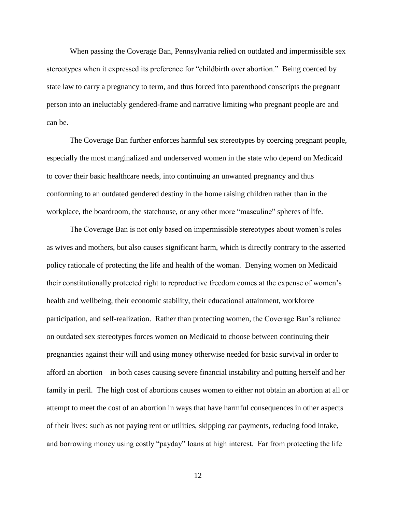When passing the Coverage Ban, Pennsylvania relied on outdated and impermissible sex stereotypes when it expressed its preference for "childbirth over abortion." Being coerced by state law to carry a pregnancy to term, and thus forced into parenthood conscripts the pregnant person into an ineluctably gendered-frame and narrative limiting who pregnant people are and can be.

The Coverage Ban further enforces harmful sex stereotypes by coercing pregnant people, especially the most marginalized and underserved women in the state who depend on Medicaid to cover their basic healthcare needs, into continuing an unwanted pregnancy and thus conforming to an outdated gendered destiny in the home raising children rather than in the workplace, the boardroom, the statehouse, or any other more "masculine" spheres of life.

The Coverage Ban is not only based on impermissible stereotypes about women's roles as wives and mothers, but also causes significant harm, which is directly contrary to the asserted policy rationale of protecting the life and health of the woman. Denying women on Medicaid their constitutionally protected right to reproductive freedom comes at the expense of women's health and wellbeing, their economic stability, their educational attainment, workforce participation, and self-realization. Rather than protecting women, the Coverage Ban's reliance on outdated sex stereotypes forces women on Medicaid to choose between continuing their pregnancies against their will and using money otherwise needed for basic survival in order to afford an abortion—in both cases causing severe financial instability and putting herself and her family in peril. The high cost of abortions causes women to either not obtain an abortion at all or attempt to meet the cost of an abortion in ways that have harmful consequences in other aspects of their lives: such as not paying rent or utilities, skipping car payments, reducing food intake, and borrowing money using costly "payday" loans at high interest. Far from protecting the life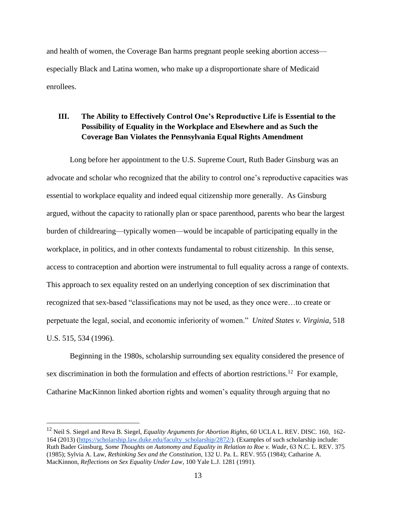and health of women, the Coverage Ban harms pregnant people seeking abortion access especially Black and Latina women, who make up a disproportionate share of Medicaid enrollees.

## <span id="page-20-0"></span>**III. The Ability to Effectively Control One's Reproductive Life is Essential to the Possibility of Equality in the Workplace and Elsewhere and as Such the Coverage Ban Violates the Pennsylvania Equal Rights Amendment**

Long before her appointment to the U.S. Supreme Court, Ruth Bader Ginsburg was an advocate and scholar who recognized that the ability to control one's reproductive capacities was essential to workplace equality and indeed equal citizenship more generally. As Ginsburg argued, without the capacity to rationally plan or space parenthood, parents who bear the largest burden of childrearing—typically women—would be incapable of participating equally in the workplace, in politics, and in other contexts fundamental to robust citizenship. In this sense, access to contraception and abortion were instrumental to full equality across a range of contexts. This approach to sex equality rested on an underlying conception of sex discrimination that recognized that sex-based "classifications may not be used, as they once were…to create or perpetuate the legal, social, and economic inferiority of women." *United States v. Virginia*, 518 U.S. 515, 534 (1996).

Beginning in the 1980s, scholarship surrounding sex equality considered the presence of sex discrimination in both the formulation and effects of abortion restrictions.<sup>12</sup> For example, Catharine MacKinnon linked abortion rights and women's equality through arguing that no

<sup>12</sup> Neil S. Siegel and Reva B. Siegel, *Equality Arguments for Abortion Rights*, 60 UCLA L. REV. DISC. 160, 162- 164 (2013) [\(https://scholarship.law.duke.edu/faculty\\_scholarship/2872/\)](https://scholarship.law.duke.edu/faculty_scholarship/2872/). (Examples of such scholarship include: Ruth Bader Ginsburg, *Some Thoughts on Autonomy and Equality in Relation to Roe v. Wade*, 63 N.C. L. REV. 375 (1985); Sylvia A. Law, *Rethinking Sex and the Constitution*, 132 U. Pa. L. REV. 955 (1984); Catharine A. MacKinnon, *Reflections on Sex Equality Under Law*, 100 Yale L.J. 1281 (1991).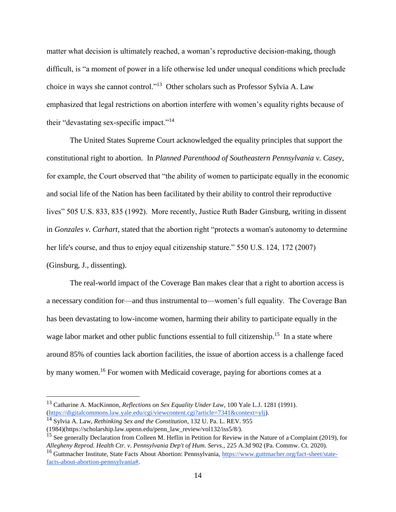matter what decision is ultimately reached, a woman's reproductive decision-making, though difficult, is "a moment of power in a life otherwise led under unequal conditions which preclude choice in ways she cannot control."<sup>13</sup> Other scholars such as Professor Sylvia A. Law emphasized that legal restrictions on abortion interfere with women's equality rights because of their "devastating sex-specific impact."<sup>14</sup>

The United States Supreme Court acknowledged the equality principles that support the constitutional right to abortion. In *Planned Parenthood of Southeastern Pennsylvania v. Casey*, for example, the Court observed that "the ability of women to participate equally in the economic and social life of the Nation has been facilitated by their ability to control their reproductive lives" 505 U.S. 833, 835 (1992). More recently, Justice Ruth Bader Ginsburg, writing in dissent in *Gonzales v. Carhart,* stated that the abortion right "protects a woman's autonomy to determine her life's course, and thus to enjoy equal citizenship stature." 550 U.S. 124, 172 (2007) (Ginsburg, J., dissenting).

The real-world impact of the Coverage Ban makes clear that a right to abortion access is a necessary condition for—and thus instrumental to—women's full equality. The Coverage Ban has been devastating to low-income women, harming their ability to participate equally in the wage labor market and other public functions essential to full citizenship.<sup>15</sup> In a state where around 85% of counties lack abortion facilities, the issue of abortion access is a challenge faced by many women.<sup>16</sup> For women with Medicaid coverage, paying for abortions comes at a

<sup>13</sup> Catharine A. MacKinnon, *Reflections on Sex Equality Under Law*, 100 Yale L.J. 1281 (1991). [\(https://digitalcommons.law.yale.edu/cgi/viewcontent.cgi?article=7341&context=ylj\)](https://digitalcommons.law.yale.edu/cgi/viewcontent.cgi?article=7341&context=ylj).

<sup>14</sup> Sylvia A. Law, *Rethinking Sex and the Constitution*, 132 U. Pa. L. REV. 955

<sup>(1984)(</sup>https://scholarship.law.upenn.edu/penn\_law\_review/vol132/iss5/8/).

<sup>&</sup>lt;sup>15</sup> See generally Declaration from Colleen M. Heflin in Petition for Review in the Nature of a Complaint (2019), for *Allegheny Reprod. Health Ctr. v. Pennsylvania Dep't of Hum. Servs.,* 225 A.3d 902 (Pa. Commw. Ct. 2020)*.* 

<sup>&</sup>lt;sup>16</sup> Guttmacher Institute, State Facts About Abortion: Pennsylvania, [https://www.guttmacher.org/fact-sheet/state](https://www.guttmacher.org/fact-sheet/state-facts-about-abortion-pennsylvania)[facts-about-abortion-pennsylvania#.](https://www.guttmacher.org/fact-sheet/state-facts-about-abortion-pennsylvania)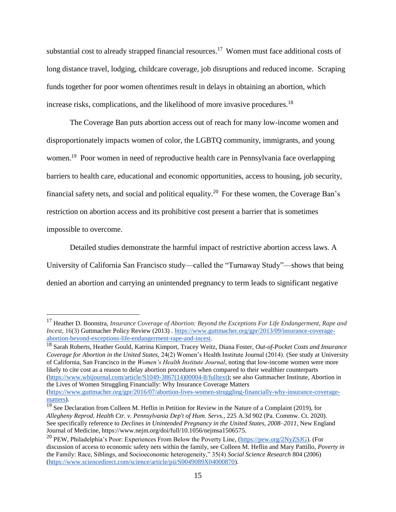substantial cost to already strapped financial resources.<sup>17</sup> Women must face additional costs of long distance travel, lodging, childcare coverage, job disruptions and reduced income. Scraping funds together for poor women oftentimes result in delays in obtaining an abortion, which increase risks, complications, and the likelihood of more invasive procedures.<sup>18</sup>

The Coverage Ban puts abortion access out of reach for many low-income women and disproportionately impacts women of color, the LGBTQ community, immigrants, and young women.<sup>19</sup> Poor women in need of reproductive health care in Pennsylvania face overlapping barriers to health care, educational and economic opportunities, access to housing, job security, financial safety nets, and social and political equality.<sup>20</sup> For these women, the Coverage Ban's restriction on abortion access and its prohibitive cost present a barrier that is sometimes impossible to overcome.

Detailed studies demonstrate the harmful impact of restrictive abortion access laws. A University of California San Francisco study—called the "Turnaway Study"—shows that being denied an abortion and carrying an unintended pregnancy to term leads to significant negative

 $\overline{a}$ 

<sup>18</sup> Sarah Roberts, Heather Gould, Katrina Kimport, Tracey Weitz, Diana Foster, *Out-of-Pocket Costs and Insurance Coverage for Abortion in the United States,* 24(2) Women's Health Institute Journal (2014). (See study at University of California, San Francisco in the *Women's Health Institute Journal*, noting that low-income women were more likely to cite cost as a reason to delay abortion procedures when compared to their wealthier counterparts [\(https://www.whijournal.com/article/S1049-3867\(14\)00004-8/fulltext\)](https://www.whijournal.com/article/S1049-3867(14)00004-8/fulltext); see also Guttmacher Institute, Abortion in the Lives of Women Struggling Financially: Why Insurance Coverage Matters

<sup>17</sup> Heather D. Boonstra, *Insurance Coverage of Abortion: Beyond the Exceptions For Life Endangerment, Rape and Incest*, 16(3) Guttmacher Policy Review (2013) . [https://www.guttmacher.org/gpr/2013/09/insurance-coverage](https://www.guttmacher.org/gpr/2013/09/insurance-coverage-abortion-beyond-exceptions-life-endangerment-rape-and-incest)[abortion-beyond-exceptions-life-endangerment-rape-and-incest.](https://www.guttmacher.org/gpr/2013/09/insurance-coverage-abortion-beyond-exceptions-life-endangerment-rape-and-incest)

[<sup>\(</sup>https://www.guttmacher.org/gpr/2016/07/abortion-lives-women-struggling-financially-why-insurance-coverage](https://www.guttmacher.org/gpr/2016/07/abortion-lives-women-struggling-financially-why-insurance-coverage-matters)[matters\)](https://www.guttmacher.org/gpr/2016/07/abortion-lives-women-struggling-financially-why-insurance-coverage-matters).

<sup>&</sup>lt;sup>19</sup> See Declaration from Colleen M. Heflin in Petition for Review in the Nature of a Complaint (2019), for *Allegheny Reprod. Health Ctr. v. Pennsylvania Dep't of Hum. Servs.,* 225 A.3d 902 (Pa. Commw. Ct. 2020)*.*  See specifically reference to *Declines in Unintended Pregnancy in the United States, 2008–2011*, New England Journal of Medicine*,* https://www.nejm.org/doi/full/10.1056/nejmsa1506575.

<sup>&</sup>lt;sup>20</sup> PEW. Philadelphia's Poor: Experiences From Below the Poverty Line, [\(https://pew.org/2NyZSJG\)](https://pew.org/2NyZSJG). (For discussion of access to economic safety nets within the family, see Colleen M. Heflin and Mary Pattillo, *Poverty in*  the Family: Race, Siblings, and Socioeconomic heterogeneity," 35(4) *Social Science Research* 804 (2006) [\(https://www.sciencedirect.com/science/article/pii/S0049089X04000870\)](https://www.sciencedirect.com/science/article/pii/S0049089X04000870).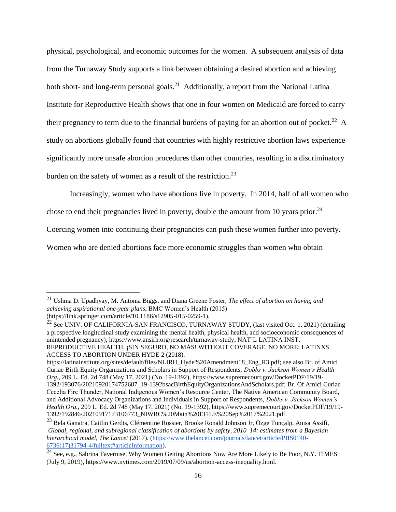physical, psychological, and economic outcomes for the women. A subsequent analysis of data from the Turnaway Study supports a link between obtaining a desired abortion and achieving both short- and long-term personal goals.<sup>21</sup> Additionally, a report from the National Latina Institute for Reproductive Health shows that one in four women on Medicaid are forced to carry their pregnancy to term due to the financial burdens of paying for an abortion out of pocket.<sup>22</sup> A study on abortions globally found that countries with highly restrictive abortion laws experience significantly more unsafe abortion procedures than other countries, resulting in a discriminatory burden on the safety of women as a result of the restriction.<sup>23</sup>

Increasingly, women who have abortions live in poverty. In 2014, half of all women who

chose to end their pregnancies lived in poverty, double the amount from 10 years prior. $^{24}$ 

Coercing women into continuing their pregnancies can push these women further into poverty.

Women who are denied abortions face more economic struggles than women who obtain

 $\overline{a}$ 

[https://latinainstitute.org/sites/default/files/NLIRH\\_Hyde%20Amendment18\\_Eng\\_R3.pdf;](https://latinainstitute.org/sites/default/files/NLIRH_Hyde%20Amendment18_Eng_R3.pdf) see also Br. of Amici Curiae Birth Equity Organizations and Scholars in Support of Respondents, *Dobbs v. Jackson Women's Health Org.*, 209 L. Ed. 2d 748 (May 17, 2021) (No. 19-1392), https://www.supremecourt.gov/DocketPDF/19/19- 1392/193076/20210920174752687\_19-1392bsacBirthEquityOrganizationsAndScholars.pdf; Br. Of Amici Curiae Cecelia Fire Thunder, National Indigenous Women's Resource Center, The Native American Community Board, and Additional Advocacy Organizations and Individuals in Support of Respondents, *Dobbs v. Jackson Women's Health Org.*, 209 L. Ed. 2d 748 (May 17, 2021) (No. 19-1392), https://www.supremecourt.gov/DocketPDF/19/19- 1392/192846/20210917173106773\_NIWRC%20Main%20EFILE%20Sep%2017%2021.pdf.

<sup>21</sup> Ushma D. Upadhyay, M. Antonia Biggs, and Diana Greene Foster, *The effect of abortion on having and achieving aspirational one-year plans*, BMC Women's Health (2015) (https://link.springer.com/article/10.1186/s12905-015-0259-1).

<sup>&</sup>lt;sup>22</sup> See UNIV. OF CALIFORNIA-SAN FRANCISCO, TURNAWAY STUDY, (last visited Oct. 1, 2021) (detailing a prospective longitudinal study examining the mental health, physical health, and socioeconomic consequences of unintended pregnancy), [https://www.ansirh.org/research/turnaway-study;](https://www.ansirh.org/research/turnaway-study) NAT'L LATINA INST. REPRODUCTIVE HEALTH, ¡SIN SEGURO, NO MÁS! WITHOUT COVERAGE, NO MORE: LATINXS ACCESS TO ABORTION UNDER HYDE 2 (2018).

<sup>&</sup>lt;sup>23</sup> Bela Ganatra, Caitlin Gerdts, Clémentine Rossier, Brooke Ronald Johnson Jr, Özge Tunçalp, Anisa Assifi, *Global, regional, and subregional classification of abortions by safety, 2010–14: estimates from a Bayesian hierarchical model, The Lancet* (2017). [\(https://www.thelancet.com/journals/lancet/article/PIIS0140-](https://www.thelancet.com/journals/lancet/article/PIIS0140-6736(17)31794-4/fulltext#articleInformation) [6736\(17\)31794-4/fulltext#articleInformation\)](https://www.thelancet.com/journals/lancet/article/PIIS0140-6736(17)31794-4/fulltext#articleInformation).

<sup>&</sup>lt;sup>24</sup> See, e.g., Sabrina Tavernise, Why Women Getting Abortions Now Are More Likely to Be Poor, N.Y. TIMES (July 9, 2019), https://www.nytimes.com/2019/07/09/us/abortion-access-inequality.html.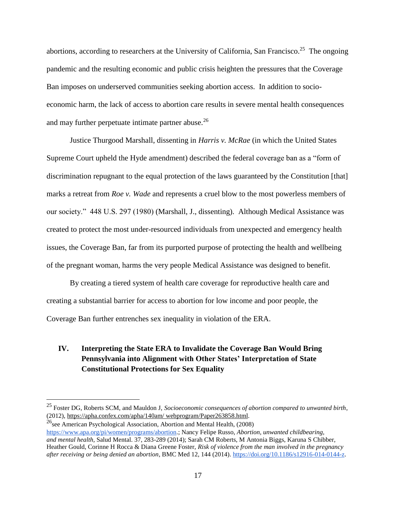abortions, according to researchers at the University of California, San Francisco.<sup>25</sup> The ongoing pandemic and the resulting economic and public crisis heighten the pressures that the Coverage Ban imposes on underserved communities seeking abortion access. In addition to socioeconomic harm, the lack of access to abortion care results in severe mental health consequences and may further perpetuate intimate partner abuse.<sup>26</sup>

Justice Thurgood Marshall, dissenting in *Harris v. McRae* (in which the United States Supreme Court upheld the Hyde amendment) described the federal coverage ban as a "form of discrimination repugnant to the equal protection of the laws guaranteed by the Constitution [that] marks a retreat from *Roe v. Wade* and represents a cruel blow to the most powerless members of our society." 448 U.S. 297 (1980) (Marshall, J., dissenting). Although Medical Assistance was created to protect the most under-resourced individuals from unexpected and emergency health issues, the Coverage Ban, far from its purported purpose of protecting the health and wellbeing of the pregnant woman, harms the very people Medical Assistance was designed to benefit.

By creating a tiered system of health care coverage for reproductive health care and creating a substantial barrier for access to abortion for low income and poor people, the Coverage Ban further entrenches sex inequality in violation of the ERA.

## <span id="page-24-0"></span>**IV. Interpreting the State ERA to Invalidate the Coverage Ban Would Bring Pennsylvania into Alignment with Other States' Interpretation of State Constitutional Protections for Sex Equality**

 $^{26}$ see American Psychological Association, Abortion and Mental Health, (2008) [https://www.apa.org/pi/women/programs/abortion.](https://www.apa.org/pi/women/programs/abortion); Nancy Felipe Russo, *Abortion, unwanted childbearing, and mental health,* Salud Mental. 37, 283-289 (2014); Sarah CM Roberts, M Antonia Biggs, Karuna S Chibber,

<sup>25</sup> Foster DG, Roberts SCM, and Mauldon J, *Socioeconomic consequences of abortion compared to unwanted birth*, (2012)[, https://apha.confex.com/apha/140am/ webprogram/Paper263858.html.](https://apha.confex.com/apha/140am/webprogram/Paper263858.html)

Heather Gould, Corinne H Rocca & Diana Greene Foster, *Risk of violence from the man involved in the pregnancy after receiving or being denied an abortion*, BMC Med 12, 144 (2014). [https://doi.org/10.1186/s12916-014-0144-z.](https://doi.org/10.1186/s12916-014-0144-z)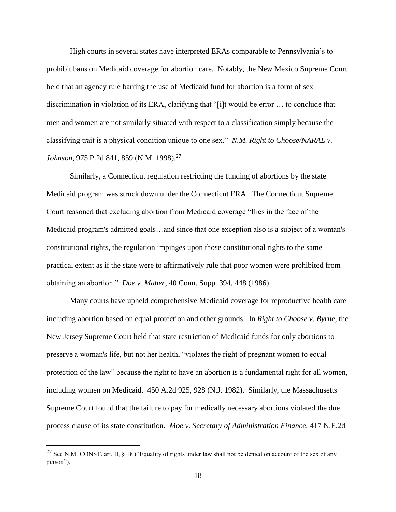High courts in several states have interpreted ERAs comparable to Pennsylvania's to prohibit bans on Medicaid coverage for abortion care. Notably, the New Mexico Supreme Court held that an agency rule barring the use of Medicaid fund for abortion is a form of sex discrimination in violation of its ERA, clarifying that "[i]t would be error … to conclude that men and women are not similarly situated with respect to a classification simply because the classifying trait is a physical condition unique to one sex." *N.M. Right to Choose/NARAL v. Johnson*, 975 P.2d 841, 859 (N.M. 1998).<sup>27</sup>

Similarly, a Connecticut regulation restricting the funding of abortions by the state Medicaid program was struck down under the Connecticut ERA. The Connecticut Supreme Court reasoned that excluding abortion from Medicaid coverage "flies in the face of the Medicaid program's admitted goals…and since that one exception also is a subject of a woman's constitutional rights, the regulation impinges upon those constitutional rights to the same practical extent as if the state were to affirmatively rule that poor women were prohibited from obtaining an abortion." *Doe v. Maher*, 40 Conn. Supp. 394, 448 (1986).

Many courts have upheld comprehensive Medicaid coverage for reproductive health care including abortion based on equal protection and other grounds. In *Right to Choose v. Byrne*, the New Jersey Supreme Court held that state restriction of Medicaid funds for only abortions to preserve a woman's life, but not her health, "violates the right of pregnant women to equal protection of the law" because the right to have an abortion is a fundamental right for all women, including women on Medicaid. 450 A.2d 925, 928 (N.J. 1982). Similarly, the Massachusetts Supreme Court found that the failure to pay for medically necessary abortions violated the due process clause of its state constitution. *Moe v. Secretary of Administration Finance,* 417 N.E.2d

<sup>&</sup>lt;sup>27</sup> See N.M. CONST. art. II,  $\S$  18 ("Equality of rights under law shall not be denied on account of the sex of any person").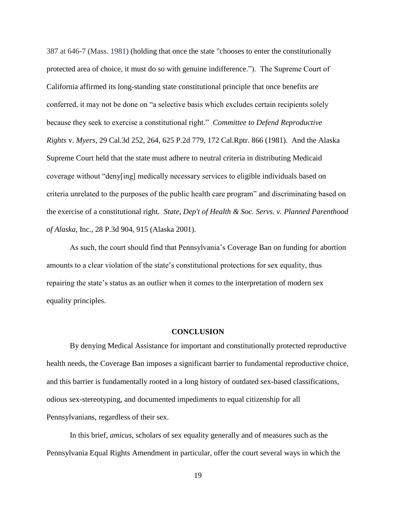387 at 646-7 (Mass. 1981) (holding that once the state "chooses to enter the constitutionally protected area of choice, it must do so with genuine indifference."). The Supreme Court of California affirmed its long-standing state constitutional principle that once benefits are conferred, it may not be done on "a selective basis which excludes certain recipients solely because they seek to exercise a constitutional right." *Committee to Defend Reproductive Rights* v. *Myers,* 29 Cal.3d 252, 264, 625 P.2d 779, 172 Cal.Rptr. 866 (1981). And the Alaska Supreme Court held that the state must adhere to neutral criteria in distributing Medicaid coverage without "deny[ing] medically necessary services to eligible individuals based on criteria unrelated to the purposes of the public health care program" and discriminating based on the exercise of a constitutional right. *State, Dep't of Health & Soc. Servs. v. Planned Parenthood of Alaska*, Inc., 28 P.3d 904, 915 (Alaska 2001).

As such, the court should find that Pennsylvania's Coverage Ban on funding for abortion amounts to a clear violation of the state's constitutional protections for sex equality, thus repairing the state's status as an outlier when it comes to the interpretation of modern sex equality principles.

### **CONCLUSION**

<span id="page-26-0"></span>By denying Medical Assistance for important and constitutionally protected reproductive health needs, the Coverage Ban imposes a significant barrier to fundamental reproductive choice, and this barrier is fundamentally rooted in a long history of outdated sex-based classifications, odious sex-stereotyping, and documented impediments to equal citizenship for all Pennsylvanians, regardless of their sex.

In this brief, *amicus*, scholars of sex equality generally and of measures such as the Pennsylvania Equal Rights Amendment in particular, offer the court several ways in which the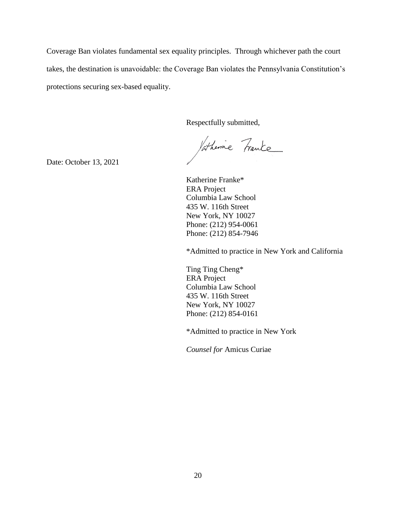Coverage Ban violates fundamental sex equality principles. Through whichever path the court takes, the destination is unavoidable: the Coverage Ban violates the Pennsylvania Constitution's protections securing sex-based equality.

Respectfully submitted,

Jatherine Franke

Date: October 13, 2021

Katherine Franke\* ERA Project Columbia Law School 435 W. 116th Street New York, NY 10027 Phone: (212) 954-0061 Phone: (212) 854-7946

\*Admitted to practice in New York and California

Ting Ting Cheng\* ERA Project Columbia Law School 435 W. 116th Street New York, NY 10027 Phone: (212) 854-0161

\*Admitted to practice in New York

*Counsel for* Amicus Curiae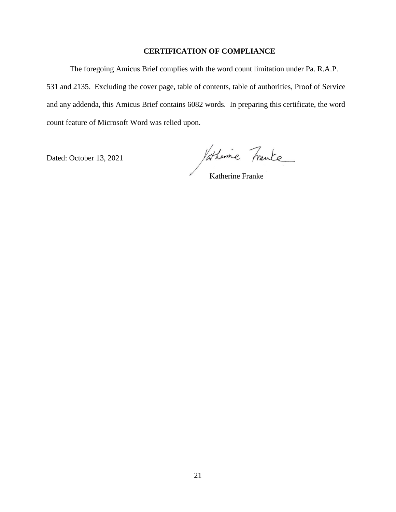### **CERTIFICATION OF COMPLIANCE**

The foregoing Amicus Brief complies with the word count limitation under Pa. R.A.P. 531 and 2135. Excluding the cover page, table of contents, table of authorities, Proof of Service and any addenda, this Amicus Brief contains 6082 words. In preparing this certificate, the word count feature of Microsoft Word was relied upon.

Dated: October 13, 2021

Vatherine Franke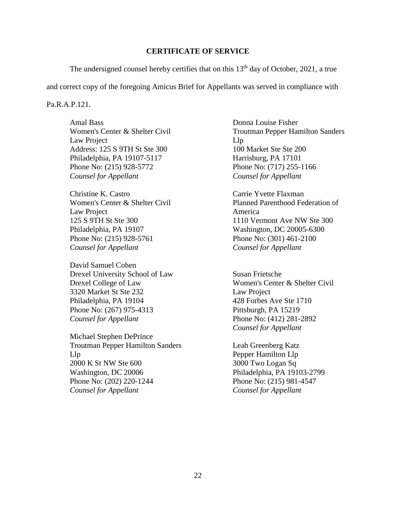#### **CERTIFICATE OF SERVICE**

The undersigned counsel hereby certifies that on this  $13<sup>th</sup>$  day of October, 2021, a true

and correct copy of the foregoing Amicus Brief for Appellants was served in compliance with

#### Pa.R.A.P.121.

Amal Bass Women's Center & Shelter Civil Law Project Address: 125 S 9TH St Ste 300 Philadelphia, PA 19107-5117 Phone No: (215) 928-5772 *Counsel for Appellant*

Christine K. Castro Women's Center & Shelter Civil Law Project 125 S 9TH St Ste 300 Philadelphia, PA 19107 Phone No: (215) 928-5761 *Counsel for Appellant*

David Samuel Cohen Drexel University School of Law Drexel College of Law 3320 Market St Ste 232 Philadelphia, PA 19104 Phone No: (267) 975-4313 *Counsel for Appellant*

Michael Stephen DePrince Troutman Pepper Hamilton Sanders Llp 2000 K St NW Ste 600 Washington, DC 20006 Phone No: (202) 220-1244 *Counsel for Appellant*

Donna Louise Fisher Troutman Pepper Hamilton Sanders Llp 100 Market Ste Ste 200 Harrisburg, PA 17101 Phone No: (717) 255-1166 *Counsel for Appellant*

Carrie Yvette Flaxman Planned Parenthood Federation of America 1110 Vermont Ave NW Ste 300 Washington, DC 20005-6300 Phone No: (301) 461-2100 *Counsel for Appellant*

Susan Frietsche Women's Center & Shelter Civil Law Project 428 Forbes Ave Ste 1710 Pittsburgh, PA 15219 Phone No: (412) 281-2892 *Counsel for Appellant*

Leah Greenberg Katz Pepper Hamilton Llp 3000 Two Logan Sq Philadelphia, PA 19103-2799 Phone No: (215) 981-4547 *Counsel for Appellant*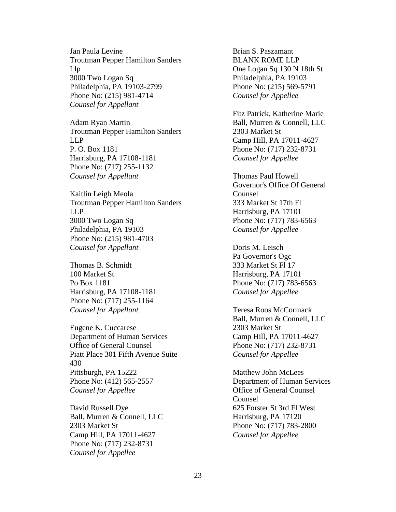Jan Paula Levine Troutman Pepper Hamilton Sanders Llp 3000 Two Logan Sq Philadelphia, PA 19103-2799 Phone No: (215) 981-4714 *Counsel for Appellant*

Adam Ryan Martin Troutman Pepper Hamilton Sanders LLP P. O. Box 1181 Harrisburg, PA 17108-1181 Phone No: (717) 255-1132 *Counsel for Appellant*

Kaitlin Leigh Meola Troutman Pepper Hamilton Sanders LLP 3000 Two Logan Sq Philadelphia, PA 19103 Phone No: (215) 981-4703 *Counsel for Appellant*

Thomas B. Schmidt 100 Market St Po Box 1181 Harrisburg, PA 17108-1181 Phone No: (717) 255-1164 *Counsel for Appellant*

Eugene K. Cuccarese Department of Human Services Office of General Counsel Piatt Place 301 Fifth Avenue Suite 430 Pittsburgh, PA 15222 Phone No: (412) 565-2557 *Counsel for Appellee*

David Russell Dye Ball, Murren & Connell, LLC 2303 Market St Camp Hill, PA 17011-4627 Phone No: (717) 232-8731 *Counsel for Appellee*

Brian S. Paszamant BLANK ROME LLP One Logan Sq 130 N 18th St Philadelphia, PA 19103 Phone No: (215) 569-5791 *Counsel for Appellee*

Fitz Patrick, Katherine Marie Ball, Murren & Connell, LLC 2303 Market St Camp Hill, PA 17011-4627 Phone No: (717) 232-8731 *Counsel for Appellee*

Thomas Paul Howell Governor's Office Of General Counsel 333 Market St 17th Fl Harrisburg, PA 17101 Phone No: (717) 783-6563 *Counsel for Appellee*

Doris M. Leisch Pa Governor's Ogc 333 Market St Fl 17 Harrisburg, PA 17101 Phone No: (717) 783-6563 *Counsel for Appellee*

Teresa Roos McCormack Ball, Murren & Connell, LLC 2303 Market St Camp Hill, PA 17011-4627 Phone No: (717) 232-8731 *Counsel for Appellee*

Matthew John McLees Department of Human Services Office of General Counsel Counsel 625 Forster St 3rd Fl West Harrisburg, PA 17120 Phone No: (717) 783-2800 *Counsel for Appellee*